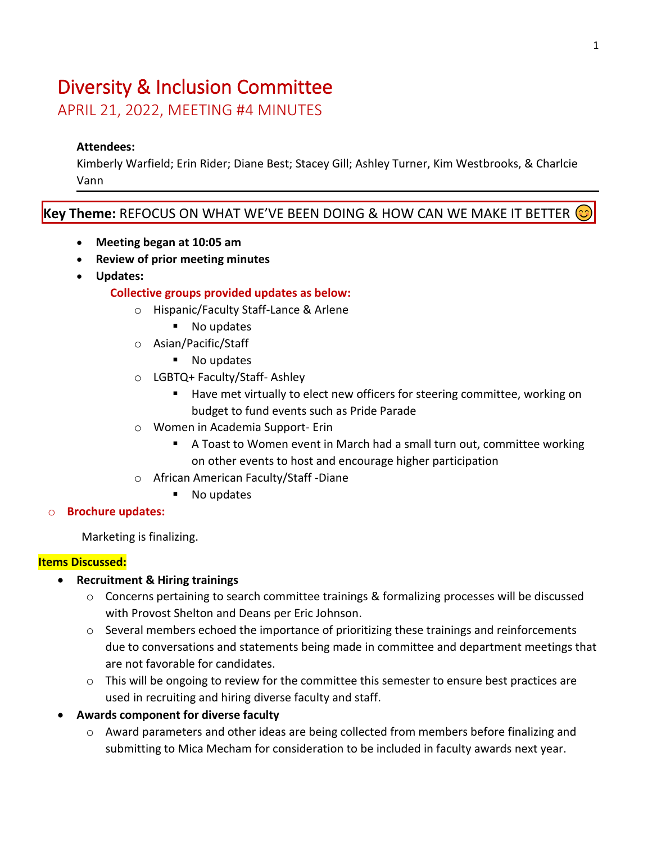# Diversity & Inclusion Committee

APRIL 21, 2022, MEETING #4 MINUTES

# **Attendees:**

Kimberly Warfield; Erin Rider; Diane Best; Stacey Gill; Ashley Turner, Kim Westbrooks, & Charlcie Vann

# **Key Theme:** REFOCUS ON WHAT WE'VE BEEN DOING & HOW CAN WE MAKE IT BETTER

- **Meeting began at 10:05 am**
- **Review of prior meeting minutes**
- **Updates:**

## **Collective groups provided updates as below:**

- o Hispanic/Faculty Staff-Lance & Arlene
	- No updates
- o Asian/Pacific/Staff
	- No updates
- o LGBTQ+ Faculty/Staff- Ashley
	- Have met virtually to elect new officers for steering committee, working on budget to fund events such as Pride Parade
- o Women in Academia Support- Erin
	- A Toast to Women event in March had a small turn out, committee working on other events to host and encourage higher participation
- o African American Faculty/Staff -Diane
	- No updates

#### o **Brochure updates:**

Marketing is finalizing.

#### **Items Discussed:**

#### • **Recruitment & Hiring trainings**

- o Concerns pertaining to search committee trainings & formalizing processes will be discussed with Provost Shelton and Deans per Eric Johnson.
- $\circ$  Several members echoed the importance of prioritizing these trainings and reinforcements due to conversations and statements being made in committee and department meetings that are not favorable for candidates.
- $\circ$  This will be ongoing to review for the committee this semester to ensure best practices are used in recruiting and hiring diverse faculty and staff.

## • **Awards component for diverse faculty**

o Award parameters and other ideas are being collected from members before finalizing and submitting to Mica Mecham for consideration to be included in faculty awards next year.